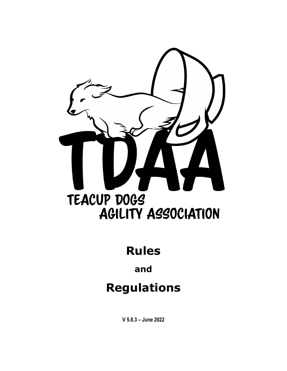

# **Rules**

# **and**

# **Regulations**

**V 5.8.3 – June 2022**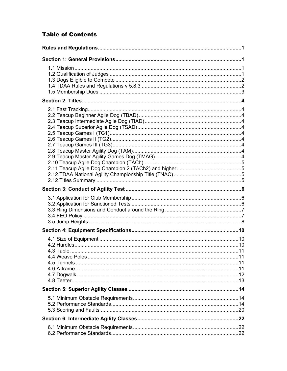### **Table of Contents**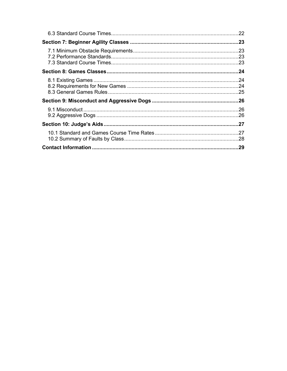| .28 |
|-----|
|     |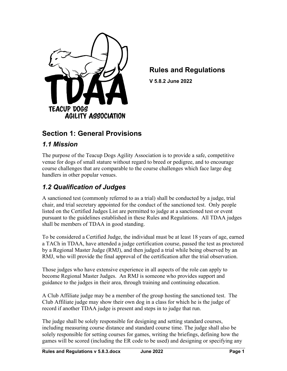

# <span id="page-3-0"></span>**Rules and Regulations**

**V 5.8.2 June 2022**

# <span id="page-3-1"></span>**Section 1: General Provisions**

### <span id="page-3-2"></span>*1.1 Mission*

The purpose of the Teacup Dogs Agility Association is to provide a safe, competitive venue for dogs of small stature without regard to breed or pedigree, and to encourage course challenges that are comparable to the course challenges which face large dog handlers in other popular venues.

### <span id="page-3-3"></span>*1.2 Qualification of Judges*

A sanctioned test (commonly referred to as a trial) shall be conducted by a judge, trial chair, and trial secretary appointed for the conduct of the sanctioned test. Only people listed on the Certified Judges List are permitted to judge at a sanctioned test or event pursuant to the guidelines established in these Rules and Regulations. All TDAA judges shall be members of TDAA in good standing.

To be considered a Certified Judge, the individual must be at least 18 years of age, earned a TACh in TDAA, have attended a judge certification course, passed the test as proctored by a Regional Master Judge (RMJ), and then judged a trial while being observed by an RMJ, who will provide the final approval of the certification after the trial observation.

Those judges who have extensive experience in all aspects of the role can apply to become Regional Master Judges. An RMJ is someone who provides support and guidance to the judges in their area, through training and continuing education.

A Club Affiliate judge may be a member of the group hosting the sanctioned test. The Club Affiliate judge may show their own dog in a class for which he is the judge of record if another TDAA judge is present and steps in to judge that run.

The judge shall be solely responsible for designing and setting standard courses, including measuring course distance and standard course time. The judge shall also be solely responsible for setting courses for games, writing the briefings, defining how the games will be scored (including the ER code to be used) and designing or specifying any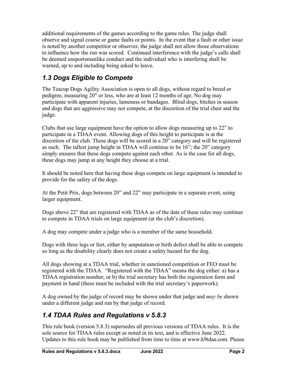additional requirements of the games according to the game rules. The judge shall observe and signal course or game faults or points. In the event that a fault or other issue is noted by another competitor or observer, the judge shall not allow those observations to influence how the run was scored. Continued interference with the judge's calls shall be deemed unsportsmanlike conduct and the individual who is interfering shall be warned, up to and including being asked to leave.

# <span id="page-4-0"></span>*1.3 Dogs Eligible to Compete*

The Teacup Dogs Agility Association is open to all dogs, without regard to breed or pedigree, measuring 20" or less, who are at least 12 months of age. No dog may participate with apparent injuries, lameness or bandages. Blind dogs, bitches in season and dogs that are aggressive may not compete, at the discretion of the trial chair and the judge.

Clubs that use large equipment have the option to allow dogs measuring up to 22" to participate in a TDAA event. Allowing dogs of this height to participate is at the discretion of the club. These dogs will be scored in a 20" category and will be registered as such. The tallest jump height in TDAA will continue to be 16"; the 20" category simply ensures that these dogs compete against each other. As is the case for all dogs, these dogs may jump at any height they choose at a trial.

It should be noted here that having these dogs compete on large equipment is intended to provide for the safety of the dogs.

At the Petit Prix, dogs between 20" and 22" may participate in a separate event, using larger equipment.

Dogs above 22" that are registered with TDAA as of the date of these rules may continue to compete in TDAA trials on large equipment (at the club's discretion).

A dog may compete under a judge who is a member of the same household.

Dogs with three legs or feet, either by amputation or birth defect shall be able to compete so long as the disability clearly does not create a safety hazard for the dog.

All dogs showing at a TDAA trial, whether in sanctioned competition or FEO must be registered with the TDAA. "Registered with the TDAA" means the dog either: a) has a TDAA registration number, or b) the trial secretary has both the registration form and payment in hand (these must be included with the trial secretary's paperwork).

A dog owned by the judge of record may be shown under that judge and *may be* shown under a different judge and run by that judge of record.

# <span id="page-4-1"></span>*1.4 TDAA Rules and Regulations v 5.8.3*

This rule book (version 5.8.3) supersedes all previous versions of TDAA rules. It is the sole source for TDAA rules except as noted in its text, and is effective June 2022. Updates to this rule book may be published from time to time at www.k9tdaa.com. Please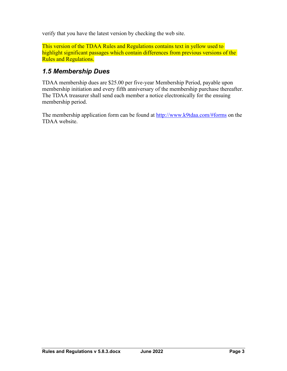verify that you have the latest version by checking the web site.

This version of the TDAA Rules and Regulations contains text in yellow used to highlight significant passages which contain differences from previous versions of the Rules and Regulations.

### <span id="page-5-0"></span>*1.5 Membership Dues*

TDAA membership dues are \$25.00 per five-year Membership Period, payable upon membership initiation and every fifth anniversary of the membership purchase thereafter. The TDAA treasurer shall send each member a notice electronically for the ensuing membership period.

The membership application form can be found at<http://www.k9tdaa.com/#forms> on the TDAA website.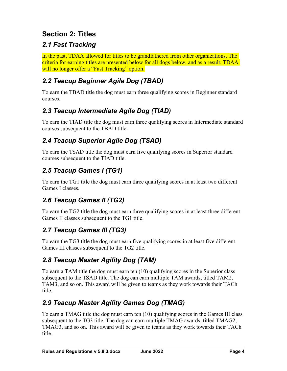# <span id="page-6-0"></span>**Section 2: Titles**

# <span id="page-6-1"></span>*2.1 Fast Tracking*

In the past, TDAA allowed for titles to be grandfathered from other organizations. The criteria for earning titles are presented below for all dogs below, and as a result, TDAA will no longer offer a "Fast Tracking" option.

# <span id="page-6-2"></span>*2.2 Teacup Beginner Agile Dog (TBAD)*

To earn the TBAD title the dog must earn three qualifying scores in Beginner standard courses.

# <span id="page-6-3"></span>*2.3 Teacup Intermediate Agile Dog (TIAD)*

To earn the TIAD title the dog must earn three qualifying scores in Intermediate standard courses subsequent to the TBAD title.

# <span id="page-6-4"></span>*2.4 Teacup Superior Agile Dog (TSAD)*

To earn the TSAD title the dog must earn five qualifying scores in Superior standard courses subsequent to the TIAD title.

# <span id="page-6-5"></span>*2.5 Teacup Games I (TG1)*

To earn the TG1 title the dog must earn three qualifying scores in at least two different Games I classes.

# <span id="page-6-6"></span>*2.6 Teacup Games II (TG2)*

To earn the TG2 title the dog must earn three qualifying scores in at least three different Games II classes subsequent to the TG1 title.

# <span id="page-6-7"></span>*2.7 Teacup Games III (TG3)*

To earn the TG3 title the dog must earn five qualifying scores in at least five different Games III classes subsequent to the TG2 title.

# <span id="page-6-8"></span>*2.8 Teacup Master Agility Dog (TAM)*

To earn a TAM title the dog must earn ten (10) qualifying scores in the Superior class subsequent to the TSAD title. The dog can earn multiple TAM awards, titled TAM2, TAM3, and so on. This award will be given to teams as they work towards their TACh title.

# <span id="page-6-9"></span>*2.9 Teacup Master Agility Games Dog (TMAG)*

To earn a TMAG title the dog must earn ten (10) qualifying scores in the Games III class subsequent to the TG3 title. The dog can earn multiple TMAG awards, titled TMAG2, TMAG3, and so on. This award will be given to teams as they work towards their TACh title.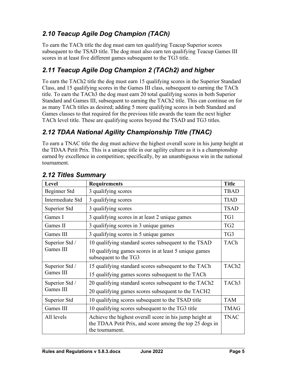# <span id="page-7-0"></span>*2.10 Teacup Agile Dog Champion (TACh)*

To earn the TACh title the dog must earn ten qualifying Teacup Superior scores subsequent to the TSAD title. The dog must also earn ten qualifying Teacup Games III scores in at least five different games subsequent to the TG3 title.

## <span id="page-7-1"></span>*2.11 Teacup Agile Dog Champion 2 (TACh2) and higher*

To earn the TACh2 title the dog must earn 15 qualifying scores in the Superior Standard Class, and 15 qualifying scores in the Games III class, subsequent to earning the TACh title. To earn the TACh3 the dog must earn 20 total qualifying scores in both Superior Standard and Games III, subsequent to earning the TACh2 title. This can continue on for as many TACh titles as desired; adding 5 more qualifying scores in both Standard and Games classes to that required for the previous title awards the team the next higher TACh level title. These are qualifying scores beyond the TSAD and TG3 titles.

# <span id="page-7-2"></span>*2.12 TDAA National Agility Championship Title (TNAC)*

To earn a TNAC title the dog must achieve the highest overall score in his jump height at the TDAA Petit Prix. This is a unique title in our agility culture as it is a championship earned by excellence in competition; specifically, by an unambiguous win in the national tournament.

| Level            | <b>Requirements</b>                                                                                                                   | <b>Title</b>      |
|------------------|---------------------------------------------------------------------------------------------------------------------------------------|-------------------|
| Beginner Std     | 3 qualifying scores                                                                                                                   | <b>TBAD</b>       |
| Intermediate Std | 3 qualifying scores                                                                                                                   | <b>TIAD</b>       |
| Superior Std     | 3 qualifying scores                                                                                                                   | <b>TSAD</b>       |
| Games I          | 3 qualifying scores in at least 2 unique games                                                                                        | TG1               |
| Games II         | 3 qualifying scores in 3 unique games                                                                                                 | TG <sub>2</sub>   |
| Games III        | 3 qualifying scores in 5 unique games                                                                                                 | TG3               |
| Superior Std /   | 10 qualifying standard scores subsequent to the TSAD                                                                                  |                   |
| Games III        | 10 qualifying games scores in at least 5 unique games<br>subsequent to the TG3                                                        |                   |
| Superior Std /   | 15 qualifying standard scores subsequent to the TACh                                                                                  | TACh <sub>2</sub> |
| Games III        | 15 qualifying games scores subsequent to the TACh                                                                                     |                   |
| Superior Std /   | 20 qualifying standard scores subsequent to the TACh2                                                                                 | TACh <sub>3</sub> |
| Games III        | 20 qualifying games scores subsequent to the TACH2                                                                                    |                   |
| Superior Std     | 10 qualifying scores subsequent to the TSAD title                                                                                     | <b>TAM</b>        |
| Games III        | 10 qualifying scores subsequent to the TG3 title                                                                                      | <b>TMAG</b>       |
| All levels       | Achieve the highest overall score in his jump height at<br>the TDAA Petit Prix, and score among the top 25 dogs in<br>the tournament. | <b>TNAC</b>       |

### <span id="page-7-3"></span>*2.12 Titles Summary*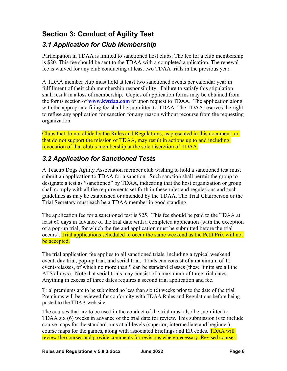# <span id="page-8-0"></span>**Section 3: Conduct of Agility Test**

### <span id="page-8-1"></span>*3.1 Application for Club Membership*

Participation in TDAA is limited to sanctioned host clubs. The fee for a club membership is \$20. This fee should be sent to the TDAA with a completed application. The renewal fee is waived for any club conducting at least two TDAA trials in the previous year.

A TDAA member club must hold at least two sanctioned events per calendar year in fulfillment of their club membership responsibility. Failure to satisfy this stipulation shall result in a loss of membership. Copies of application forms may be obtained from the forms section of **[www.k9tdaa.com](http://www.k9tdaa.com/)** or upon request to TDAA. The application along with the appropriate filing fee shall be submitted to TDAA. The TDAA reserves the right to refuse any application for sanction for any reason without recourse from the requesting organization.

Clubs that do not abide by the Rules and Regulations, as presented in this document, or that do not support the mission of TDAA, may result in actions up to and including revocation of that club's membership at the sole discretion of TDAA.

### <span id="page-8-2"></span>*3.2 Application for Sanctioned Tests*

A Teacup Dogs Agility Association member club wishing to hold a sanctioned test must submit an application to TDAA for a sanction. Such sanction shall permit the group to designate a test as "sanctioned" by TDAA, indicating that the host organization or group shall comply with all the requirements set forth in these rules and regulations and such guidelines as may be established or amended by the TDAA. The Trial Chairperson or the Trial Secretary must each be a TDAA member in good standing.

The application fee for a sanctioned test is \$25. This fee should be paid to the TDAA at least 60 days in advance of the trial date with a completed application (with the exception of a pop-up trial, for which the fee and application must be submitted before the trial occurs). Trial applications scheduled to occur the same weekend as the Petit Prix will not be accepted.

The trial application fee applies to all sanctioned trials, including a typical weekend event, day trial, pop-up trial, and serial trial. Trials can consist of a maximum of 12 events/classes, of which no more than 9 can be standard classes (these limits are all the ATS allows). Note that serial trials may consist of a maximum of three trial dates. Anything in excess of three dates requires a second trial application and fee.

Trial premiums are to be submitted no less than six (6) weeks prior to the date of the trial. Premiums will be reviewed for conformity with TDAA Rules and Regulations before being posted to the TDAA web site.

The courses that are to be used in the conduct of the trial must also be submitted to TDAA six (6) weeks in advance of the trial date for review. This submission is to include course maps for the standard runs at all levels (superior, intermediate and beginner), course maps for the games, along with associated briefings and ER codes. TDAA will review the courses and provide comments for revisions where necessary. Revised courses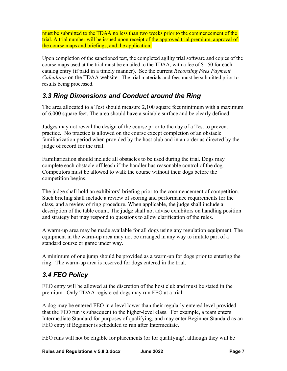must be submitted to the TDAA no less than two weeks prior to the commencement of the trial. A trial number will be issued upon receipt of the approved trial premium, approval of the course maps and briefings, and the application.

Upon completion of the sanctioned test, the completed agility trial software and copies of the course maps used at the trial must be emailed to the TDAA, with a fee of \$1.50 for each catalog entry (if paid in a timely manner). See the current *Recording Fees Payment Calculator* on the TDAA website. The trial materials and fees must be submitted prior to results being processed.

# <span id="page-9-0"></span>*3.3 Ring Dimensions and Conduct around the Ring*

The area allocated to a Test should measure 2,100 square feet minimum with a maximum of 6,000 square feet. The area should have a suitable surface and be clearly defined.

Judges may not reveal the design of the course prior to the day of a Test to prevent practice. No practice is allowed on the course except completion of an obstacle familiarization period when provided by the host club and in an order as directed by the judge of record for the trial.

Familiarization should include all obstacles to be used during the trial. Dogs may complete each obstacle off leash if the handler has reasonable control of the dog. Competitors must be allowed to walk the course without their dogs before the competition begins.

The judge shall hold an exhibitors' briefing prior to the commencement of competition. Such briefing shall include a review of scoring and performance requirements for the class, and a review of ring procedure. When applicable, the judge shall include a description of the table count. The judge shall not advise exhibitors on handling position and strategy but may respond to questions to allow clarification of the rules.

A warm-up area may be made available for all dogs using any regulation equipment. The equipment in the warm-up area may not be arranged in any way to imitate part of a standard course or game under way.

A minimum of one jump should be provided as a warm-up for dogs prior to entering the ring. The warm-up area is reserved for dogs entered in the trial.

# <span id="page-9-1"></span>*3.4 FEO Policy*

FEO entry will be allowed at the discretion of the host club and must be stated in the premium. Only TDAA registered dogs may run FEO at a trial.

A dog may be entered FEO in a level lower than their regularly entered level provided that the FEO run is subsequent to the higher-level class. For example, a team enters Intermediate Standard for purposes of qualifying, and may enter Beginner Standard as an FEO entry if Beginner is scheduled to run after Intermediate.

FEO runs will not be eligible for placements (or for qualifying), although they will be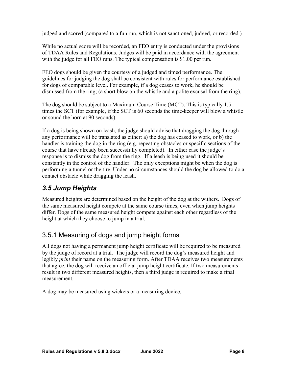judged and scored (compared to a fun run, which is not sanctioned, judged, or recorded.)

While no actual score will be recorded, an FEO entry is conducted under the provisions of TDAA Rules and Regulations. Judges will be paid in accordance with the agreement with the judge for all FEO runs. The typical compensation is \$1.00 per run.

FEO dogs should be given the courtesy of a judged and timed performance. The guidelines for judging the dog shall be consistent with rules for performance established for dogs of comparable level. For example, if a dog ceases to work, he should be dismissed from the ring; (a short blow on the whistle and a polite excusal from the ring).

The dog should be subject to a Maximum Course Time (MCT). This is typically 1.5 times the SCT (for example, if the SCT is 60 seconds the time-keeper will blow a whistle or sound the horn at 90 seconds).

If a dog is being shown on leash, the judge should advise that dragging the dog through any performance will be translated as either: a) the dog has ceased to work, or b) the handler is training the dog in the ring (e.g. repeating obstacles or specific sections of the course that have already been successfully completed). In either case the judge's response is to dismiss the dog from the ring. If a leash is being used it should be constantly in the control of the handler. The only exceptions might be when the dog is performing a tunnel or the tire. Under no circumstances should the dog be allowed to do a contact obstacle while dragging the leash.

# <span id="page-10-0"></span>*3.5 Jump Heights*

Measured heights are determined based on the height of the dog at the withers. Dogs of the same measured height compete at the same course times, even when jump heights differ. Dogs of the same measured height compete against each other regardless of the height at which they choose to jump in a trial.

### 3.5.1 Measuring of dogs and jump height forms

All dogs not having a permanent jump height certificate will be required to be measured by the judge of record at a trial. The judge will record the dog's measured height and legibly *print* their name on the measuring form. After TDAA receives two measurements that agree, the dog will receive an official jump height certificate. If two measurements result in two different measured heights, then a third judge is required to make a final measurement.

A dog may be measured using wickets or a measuring device.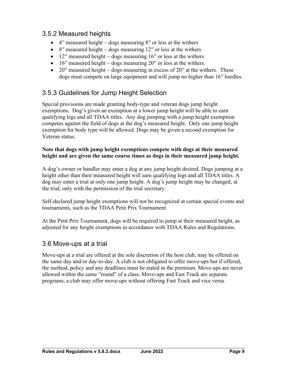### 3.5.2 Measured heights

- 4″ measured height  $\sim$  dogs measuring 8″ or less at the withers
- 8″ measured height  $\sim$  dogs measuring 12″ or less at the withers
- 12″ measured height  $\sim$  dogs measuring 16″ or less at the withers
- 16″ measured height  $\sim$  dogs measuring 20″ or less at the withers.
- 20″ measured height  $\sim$  dogs measuring in excess of 20″ at the withers. These dogs must compete on large equipment and will jump no higher than 16′′ hurdles.

### 3.5.3 Guidelines for Jump Height Selection

Special provisions are made granting body-type and veteran dogs jump height exemptions. Dog's given an exemption at a lower jump height will be able to earn qualifying legs and all TDAA titles. Any dog jumping with a jump height exemption competes against the field of dogs at the dog's measured height. Only one jump height exemption for body type will be allowed. Dogs may be given a second exemption for Veteran status.

#### **Note that dogs with jump height exemptions compete with dogs at their measured height and are given the same course times as dogs in their measured jump height.**

A dog's owner or handler may enter a dog at any jump height desired. Dogs jumping at a height other than their measured height will earn qualifying legs and all TDAA titles. A dog may enter a trial at only one jump height. A dog's jump height may be changed, at the trial, only with the permission of the trial secretary.

Self-declared jump height exemptions will not be recognized at certain special events and tournaments, such as the TDAA Petit Prix Tournament.

At the Petit Prix Tournament, dogs will be required to jump at their measured height, as adjusted for any height exemptions in accordance with TDAA Rules and Regulations.

#### 3.6 Move-ups at a trial

Move-ups at a trial are offered at the sole discretion of the host club, may be offered on the same day and/or day-to-day. A club is not obligated to offer move-ups but if offered, the method, policy and any deadlines must be stated in the premium. Move-ups are never allowed within the same ′′round′′ of a class. Move-ups and Fast Track are separate programs; a club may offer move-ups without offering Fast Track and vice versa.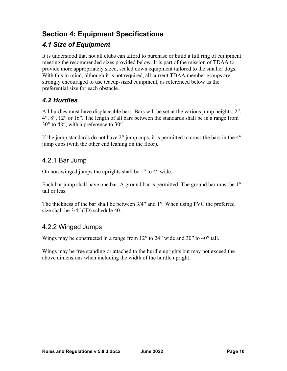# <span id="page-12-0"></span>**Section 4: Equipment Specifications**

# <span id="page-12-1"></span>*4.1 Size of Equipment*

It is understood that not all clubs can afford to purchase or build a full ring of equipment meeting the recommended sizes provided below. It is part of the mission of TDAA to provide more appropriately sized, scaled down equipment tailored to the smaller dogs. With this in mind, although it is not required, all current TDAA member groups are strongly encouraged to use teacup-sized equipment, as referenced below as the preferential size for each obstacle.

### <span id="page-12-2"></span>*4.2 Hurdles*

All hurdles must have displaceable bars. Bars will be set at the various jump heights: 2′′, 4′′, 8′′, 12′′ or 16′′. The length of all bars between the standards shall be in a range from 30′′ to 48′′, with a preference to 30′′.

If the jump standards do not have 2′′ jump cups, it is permitted to cross the bars in the 4′′ jump cups (with the other end leaning on the floor).

### 4.2.1 Bar Jump

On non-winged jumps the uprights shall be 1′′ to 4′′ wide.

Each bar jump shall have one bar. A ground bar is permitted. The ground bar must be 1′′ tall or less.

The thickness of the bar shall be between 3/4′′ and 1′′. When using PVC the preferred size shall be  $3/4$ " (ID) schedule 40.

### 4.2.2 Winged Jumps

Wings may be constructed in a range from 12" to 24" wide and 30" to 40" tall.

Wings may be free standing or attached to the hurdle uprights but may not exceed the above dimensions when including the width of the hurdle upright.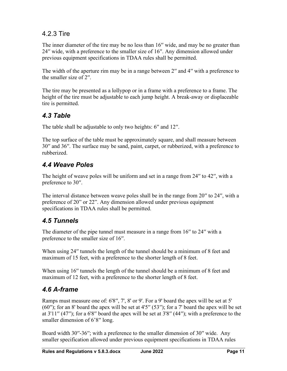# 4.2.3 Tire

The inner diameter of the tire may be no less than 16″ wide, and may be no greater than 24′′ wide, with a preference to the smaller size of 16′′. Any dimension allowed under previous equipment specifications in TDAA rules shall be permitted.

The width of the aperture rim may be in a range between 2'' and 4'' with a preference to the smaller size of 2′′.

The tire may be presented as a lollypop or in a frame with a preference to a frame. The height of the tire must be adjustable to each jump height. A break-away or displaceable tire is permitted.

### <span id="page-13-0"></span>*4.3 Table*

The table shall be adjustable to only two heights: 6" and 12".

The top surface of the table must be approximately square, and shall measure between 30′′ and 36′′. The surface may be sand, paint, carpet, or rubberized, with a preference to rubberized.

# <span id="page-13-1"></span>*4.4 Weave Poles*

The height of weave poles will be uniform and set in a range from 24'' to 42'', with a preference to 30′′.

The interval distance between weave poles shall be in the range from 20′′ to 24′′, with a preference of 20" or 22". Any dimension allowed under previous equipment specifications in TDAA rules shall be permitted.

### <span id="page-13-2"></span>*4.5 Tunnels*

The diameter of the pipe tunnel must measure in a range from 16" to 24" with a preference to the smaller size of 16′′.

When using 24" tunnels the length of the tunnel should be a minimum of 8 feet and maximum of 15 feet, with a preference to the shorter length of 8 feet.

When using 16<sup>*''*</sup> tunnels the length of the tunnel should be a minimum of 8 feet and maximum of 12 feet, with a preference to the shorter length of 8 feet.

### <span id="page-13-3"></span>*4.6 A-frame*

Ramps must measure one of: 6'8′′, 7', 8' or 9'. For a 9' board the apex will be set at 5' (60′′); for an 8' board the apex will be set at 4'5′′ (53′′); for a 7' board the apex will be set at 3'11′′ (47′′); for a 6'8′′ board the apex will be set at 3'8′′ (44′′); with a preference to the smaller dimension of 6'8" long.

Board width 30′′-36′′; with a preference to the smaller dimension of 30′′ wide. Any smaller specification allowed under previous equipment specifications in TDAA rules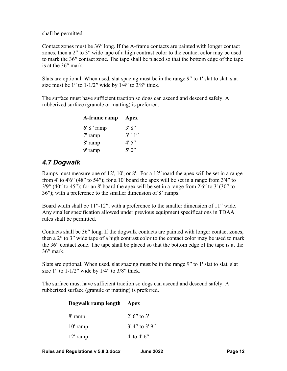shall be permitted.

Contact zones must be 36′′ long. If the A-frame contacts are painted with longer contact zones, then a 2′′ to 3′′ wide tape of a high contrast color to the contact color may be used to mark the 36′′ contact zone. The tape shall be placed so that the bottom edge of the tape is at the 36′′ mark.

Slats are optional. When used, slat spacing must be in the range 9" to 1' slat to slat, slat size must be  $1''$  to  $1-1/2''$  wide by  $1/4''$  to  $3/8''$  thick.

The surface must have sufficient traction so dogs can ascend and descend safely. A rubberized surface (granule or matting) is preferred.

| A-frame ramp  | Apex   |
|---------------|--------|
| $6' 8''$ ramp | 3'8''  |
| $7'$ ramp     | 3'11'' |
| 8' ramp       | 4'5''  |
| 9' ramp       | 5'0''  |

### <span id="page-14-0"></span>*4.7 Dogwalk*

Ramps must measure one of 12', 10', or 8'. For a 12' board the apex will be set in a range from 4' to 4'6′′ (48′′ to 54′′); for a 10' board the apex will be set in a range from 3'4′′ to  $3'9''$  (40'' to 45''); for an 8' board the apex will be set in a range from 2'6" to 3' (30" to 36′′); with a preference to the smaller dimension of 8' ramps.

Board width shall be 11''-12''; with a preference to the smaller dimension of 11'' wide. Any smaller specification allowed under previous equipment specifications in TDAA rules shall be permitted.

Contacts shall be 36′′ long. If the dogwalk contacts are painted with longer contact zones, then a 2′′ to 3′′ wide tape of a high contrast color to the contact color may be used to mark the 36′′ contact zone. The tape shall be placed so that the bottom edge of the tape is at the 36′′ mark.

Slats are optional. When used, slat spacing must be in the range 9" to 1' slat to slat, slat size  $1''$  to  $1-1/2''$  wide by  $1/4''$  to  $3/8''$  thick.

The surface must have sufficient traction so dogs can ascend and descend safely. A rubberized surface (granule or matting) is preferred.

| Dogwalk ramp length | Apex             |
|---------------------|------------------|
| 8' ramp             | $2'$ 6'' to 3'   |
| $10'$ ramp          | $3'$ 4" to 3' 9" |
| $12'$ ramp          | 4' to 4' $6''$   |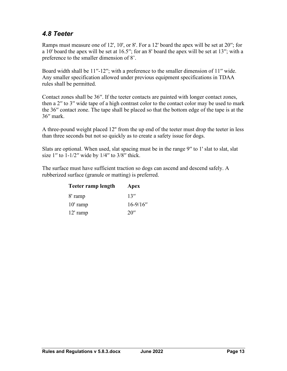# <span id="page-15-0"></span>*4.8 Teeter*

Ramps must measure one of 12', 10', or 8'. For a 12' board the apex will be set at 20′′; for a 10' board the apex will be set at 16.5′′; for an 8' board the apex will be set at 13′′; with a preference to the smaller dimension of 8'.

Board width shall be 11''-12''; with a preference to the smaller dimension of 11'' wide. Any smaller specification allowed under previous equipment specifications in TDAA rules shall be permitted.

Contact zones shall be 36′′. If the teeter contacts are painted with longer contact zones, then a 2′′ to 3′′ wide tape of a high contrast color to the contact color may be used to mark the 36′′ contact zone. The tape shall be placed so that the bottom edge of the tape is at the 36′′ mark.

A three-pound weight placed 12'' from the up end of the teeter must drop the teeter in less than three seconds but not so quickly as to create a safety issue for dogs.

Slats are optional. When used, slat spacing must be in the range 9" to 1' slat to slat, slat size  $1''$  to  $1-1/2''$  wide by  $1/4''$  to  $3/8''$  thick.

The surface must have sufficient traction so dogs can ascend and descend safely. A rubberized surface (granule or matting) is preferred.

| Teeter ramp length | Apex          |
|--------------------|---------------|
| 8' ramp            | 13''          |
| $10'$ ramp         | $16 - 9/16''$ |
| $12'$ ramp         | 20''          |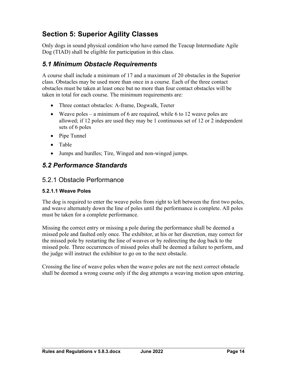# <span id="page-16-0"></span>**Section 5: Superior Agility Classes**

Only dogs in sound physical condition who have earned the Teacup Intermediate Agile Dog (TIAD) shall be eligible for participation in this class.

### <span id="page-16-1"></span>*5.1 Minimum Obstacle Requirements*

A course shall include a minimum of 17 and a maximum of 20 obstacles in the Superior class. Obstacles may be used more than once in a course. Each of the three contact obstacles must be taken at least once but no more than four contact obstacles will be taken in total for each course. The minimum requirements are:

- Three contact obstacles: A-frame, Dogwalk, Teeter
- Weave poles a minimum of 6 are required, while 6 to 12 weave poles are allowed; if 12 poles are used they may be 1 continuous set of 12 or 2 independent sets of 6 poles
- Pipe Tunnel
- Table
- Jumps and hurdles; Tire, Winged and non-winged jumps.

### <span id="page-16-2"></span>*5.2 Performance Standards*

#### 5.2.1 Obstacle Performance

#### **5.2.1.1 Weave Poles**

The dog is required to enter the weave poles from right to left between the first two poles, and weave alternately down the line of poles until the performance is complete. All poles must be taken for a complete performance.

Missing the correct entry or missing a pole during the performance shall be deemed a missed pole and faulted only once. The exhibitor, at his or her discretion, may correct for the missed pole by restarting the line of weaves or by redirecting the dog back to the missed pole. Three occurrences of missed poles shall be deemed a failure to perform, and the judge will instruct the exhibitor to go on to the next obstacle.

Crossing the line of weave poles when the weave poles are not the next correct obstacle shall be deemed a wrong course only if the dog attempts a weaving motion upon entering.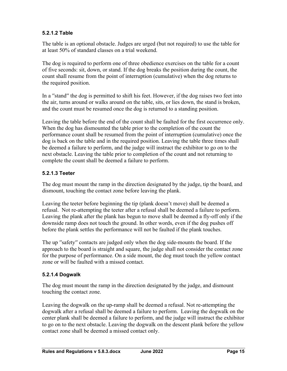#### **5.2.1.2 Table**

The table is an optional obstacle. Judges are urged (but not required) to use the table for at least 50% of standard classes on a trial weekend.

The dog is required to perform one of three obedience exercises on the table for a count of five seconds: sit, down, or stand. If the dog breaks the position during the count, the count shall resume from the point of interruption (cumulative) when the dog returns to the required position.

In a ′′stand′′ the dog is permitted to shift his feet. However, if the dog raises two feet into the air, turns around or walks around on the table, sits, or lies down, the stand is broken, and the count must be resumed once the dog is returned to a standing position.

Leaving the table before the end of the count shall be faulted for the first occurrence only. When the dog has dismounted the table prior to the completion of the count the performance count shall be resumed from the point of interruption (cumulative) once the dog is back on the table and in the required position. Leaving the table three times shall be deemed a failure to perform, and the judge will instruct the exhibitor to go on to the next obstacle. Leaving the table prior to completion of the count and not returning to complete the count shall be deemed a failure to perform.

#### **5.2.1.3 Teeter**

The dog must mount the ramp in the direction designated by the judge, tip the board, and dismount, touching the contact zone before leaving the plank.

Leaving the teeter before beginning the tip (plank doesn't move) shall be deemed a refusal. Not re-attempting the teeter after a refusal shall be deemed a failure to perform. Leaving the plank after the plank has begun to move shall be deemed a fly-off only if the downside ramp does not touch the ground. In other words, even if the dog pushes off before the plank settles the performance will not be faulted if the plank touches.

The up ′′safety′′ contacts are judged only when the dog side-mounts the board. If the approach to the board is straight and square, the judge shall not consider the contact zone for the purpose of performance. On a side mount, the dog must touch the yellow contact zone or will be faulted with a missed contact.

#### **5.2.1.4 Dogwalk**

The dog must mount the ramp in the direction designated by the judge, and dismount touching the contact zone.

Leaving the dogwalk on the up-ramp shall be deemed a refusal. Not re-attempting the dogwalk after a refusal shall be deemed a failure to perform. Leaving the dogwalk on the center plank shall be deemed a failure to perform, and the judge will instruct the exhibitor to go on to the next obstacle. Leaving the dogwalk on the descent plank before the yellow contact zone shall be deemed a missed contact only.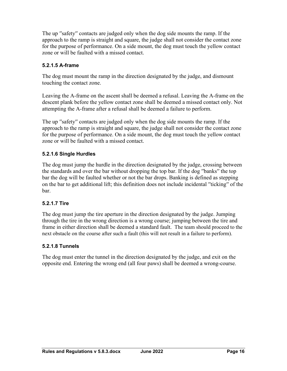The up ′′safety′′ contacts are judged only when the dog side mounts the ramp. If the approach to the ramp is straight and square, the judge shall not consider the contact zone for the purpose of performance. On a side mount, the dog must touch the yellow contact zone or will be faulted with a missed contact.

#### **5.2.1.5 A-frame**

The dog must mount the ramp in the direction designated by the judge, and dismount touching the contact zone.

Leaving the A-frame on the ascent shall be deemed a refusal. Leaving the A-frame on the descent plank before the yellow contact zone shall be deemed a missed contact only. Not attempting the A-frame after a refusal shall be deemed a failure to perform.

The up "safety" contacts are judged only when the dog side mounts the ramp. If the approach to the ramp is straight and square, the judge shall not consider the contact zone for the purpose of performance. On a side mount, the dog must touch the yellow contact zone or will be faulted with a missed contact.

#### **5.2.1.6 Single Hurdles**

The dog must jump the hurdle in the direction designated by the judge, crossing between the standards and over the bar without dropping the top bar. If the dog ′′banks′′ the top bar the dog will be faulted whether or not the bar drops. Banking is defined as stepping on the bar to get additional lift; this definition does not include incidental ′′ticking′′ of the bar.

#### **5.2.1.7 Tire**

The dog must jump the tire aperture in the direction designated by the judge. Jumping through the tire in the wrong direction is a wrong course; jumping between the tire and frame in either direction shall be deemed a standard fault. The team should proceed to the next obstacle on the course after such a fault (this will not result in a failure to perform).

#### **5.2.1.8 Tunnels**

The dog must enter the tunnel in the direction designated by the judge, and exit on the opposite end. Entering the wrong end (all four paws) shall be deemed a wrong-course.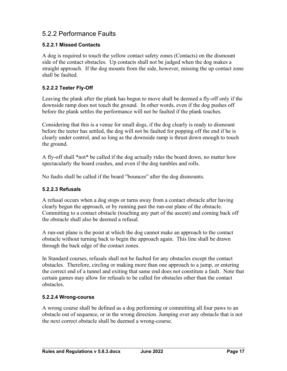### 5.2.2 Performance Faults

#### **5.2.2.1 Missed Contacts**

A dog is required to touch the yellow contact safety zones (Contacts) on the dismount side of the contact obstacles. Up contacts shall not be judged when the dog makes a straight approach. If the dog mounts from the side, however, missing the up contact zone shall be faulted.

#### **5.2.2.2 Teeter Fly-Off**

Leaving the plank after the plank has begun to move shall be deemed a fly-off only if the downside ramp does not touch the ground. In other words, even if the dog pushes off before the plank settles the performance will not be faulted if the plank touches.

Considering that this is a venue for small dogs, if the dog clearly is ready to dismount before the teeter has settled, the dog will not be faulted for popping off the end if he is clearly under control, and so long as the downside ramp is thrust down enough to touch the ground.

A fly-off shall \*not\* be called if the dog actually rides the board down, no matter how spectacularly the board crashes, and even if the dog tumbles and rolls.

No faults shall be called if the board ′′bounces′′ after the dog dismounts.

#### **5.2.2.3 Refusals**

A refusal occurs when a dog stops or turns away from a contact obstacle after having clearly begun the approach, or by running past the run-out plane of the obstacle. Committing to a contact obstacle (touching any part of the ascent) and coming back off the obstacle shall also be deemed a refusal.

A run-out plane is the point at which the dog cannot make an approach to the contact obstacle without turning back to begin the approach again. This line shall be drawn through the back edge of the contact zones.

In Standard courses, refusals shall not be faulted for any obstacles except the contact obstacles. Therefore, circling or making more than one approach to a jump, or entering the correct end of a tunnel and exiting that same end does not constitute a fault. Note that certain games may allow for refusals to be called for obstacles other than the contact obstacles.

#### **5.2.2.4 Wrong-course**

A wrong course shall be defined as a dog performing or committing all four paws to an obstacle out of sequence, or in the wrong direction. Jumping over any obstacle that is not the next correct obstacle shall be deemed a wrong-course.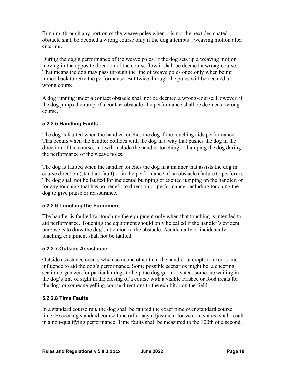Running through any portion of the weave poles when it is not the next designated obstacle shall be deemed a wrong course only if the dog attempts a weaving motion after entering.

During the dog's performance of the weave poles, if the dog sets up a weaving motion moving in the opposite direction of the course flow it shall be deemed a wrong-course. That means the dog may pass through the line of weave poles once only when being turned back to retry the performance. But twice through the poles will be deemed a wrong course.

A dog running under a contact obstacle shall not be deemed a wrong-course. However, if the dog jumps the ramp of a contact obstacle, the performance shall be deemed a wrongcourse.

#### **5.2.2.5 Handling Faults**

The dog is faulted when the handler touches the dog if the touching aids performance. This occurs when the handler collides with the dog in a way that pushes the dog in the direction of the course, and will include the handler touching or bumping the dog during the performance of the weave poles.

The dog is faulted when the handler touches the dog in a manner that assists the dog in course direction (standard fault) or in the performance of an obstacle (failure to perform). The dog shall not be faulted for incidental bumping or excited jumping on the handler, or for any touching that has no benefit to direction or performance, including touching the dog to give praise or reassurance.

#### **5.2.2.6 Touching the Equipment**

The handler is faulted for touching the equipment only when that touching is intended to aid performance. Touching the equipment should only be called if the handler's evident purpose is to draw the dog's attention to the obstacle. Accidentally or incidentally touching equipment shall not be faulted.

#### **5.2.2.7 Outside Assistance**

Outside assistance occurs when someone other than the handler attempts to exert some influence to aid the dog's performance. Some possible scenarios might be: a cheering section organized for particular dogs to help the dog get motivated; someone waiting in the dog's line of sight in the closing of a course with a visible Frisbee or food treats for the dog; or someone yelling course directions to the exhibitor on the field.

#### **5.2.2.8 Time Faults**

In a standard course run, the dog shall be faulted the exact time over standard course time. Exceeding standard course time (after any adjustment for veteran status) shall result in a non-qualifying performance. Time faults shall be measured to the 100th of a second.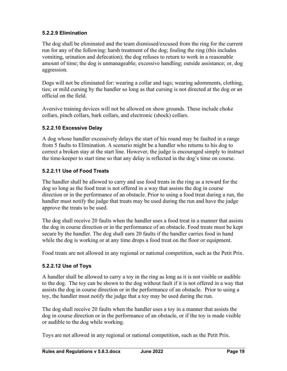#### **5.2.2.9 Elimination**

The dog shall be eliminated and the team dismissed/excused from the ring for the current run for any of the following: harsh treatment of the dog; fouling the ring (this includes vomiting, urination and defecation); the dog refuses to return to work in a reasonable amount of time; the dog is unmanageable; excessive handling; outside assistance; or, dog aggression.

Dogs will not be eliminated for: wearing a collar and tags; wearing adornments, clothing, ties; or mild cursing by the handler so long as that cursing is not directed at the dog or an official on the field.

Aversive training devices will not be allowed on show grounds. These include choke collars, pinch collars, bark collars, and electronic (shock) collars.

#### **5.2.2.10 Excessive Delay**

A dog whose handler excessively delays the start of his round may be faulted in a range from 5 faults to Elimination. A scenario might be a handler who returns to his dog to correct a broken stay at the start line. However, the judge is encouraged simply to instruct the time-keeper to start time so that any delay is reflected in the dog's time on course.

#### **5.2.2.11 Use of Food Treats**

The handler shall be allowed to carry and use food treats in the ring as a reward for the dog so long as the food treat is not offered in a way that assists the dog in course direction or in the performance of an obstacle. Prior to using a food treat during a run, the handler must notify the judge that treats may be used during the run and have the judge approve the treats to be used.

The dog shall receive 20 faults when the handler uses a food treat in a manner that assists the dog in course direction or in the performance of an obstacle. Food treats must be kept secure by the handler. The dog shall earn 20 faults if the handler carries food in hand while the dog is working or at any time drops a food treat on the floor or equipment.

Food treats are not allowed in any regional or national competition, such as the Petit Prix.

#### **5.2.2.12 Use of Toys**

A handler shall be allowed to carry a toy in the ring as long as it is not visible or audible to the dog. The toy can be shown to the dog without fault if it is not offered in a way that assists the dog in course direction or in the performance of an obstacle. Prior to using a toy, the handler must notify the judge that a toy may be used during the run.

The dog shall receive 20 faults when the handler uses a toy in a manner that assists the dog in course direction or in the performance of an obstacle, or if the toy is made visible or audible to the dog while working.

Toys are not allowed in any regional or national competition, such as the Petit Prix.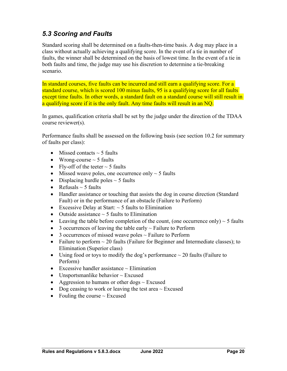### <span id="page-22-0"></span>*5.3 Scoring and Faults*

Standard scoring shall be determined on a faults-then-time basis. A dog may place in a class without actually achieving a qualifying score. In the event of a tie in number of faults, the winner shall be determined on the basis of lowest time. In the event of a tie in both faults and time, the judge may use his discretion to determine a tie-breaking scenario.

In standard courses, five faults can be incurred and still earn a qualifying score. For a standard course, which is scored 100 minus faults, 95 is a qualifying score for all faults except time faults. In other words, a standard fault on a standard course will still result in a qualifying score if it is the only fault. Any time faults will result in an NQ.

In games, qualification criteria shall be set by the judge under the direction of the TDAA course reviewer(s).

Performance faults shall be assessed on the following basis (see section 10.2 for summary of faults per class):

- Missed contacts  $\sim$  5 faults
- Wrong-course  $\sim$  5 faults
- Fly-off of the teeter  $\sim$  5 faults
- Missed weave poles, one occurrence only  $\sim$  5 faults
- Displacing hurdle poles  $\sim$  5 faults
- Refusals  $\sim$  5 faults
- Handler assistance or touching that assists the dog in course direction (Standard Fault) or in the performance of an obstacle (Failure to Perform)
- Excessive Delay at Start:  $\sim$  5 faults to Elimination
- Outside assistance  $\sim$  5 faults to Elimination
- Leaving the table before completion of the count, (one occurrence only)  $\sim$  5 faults
- 3 occurrences of leaving the table early  $\sim$  Failure to Perform
- 3 occurrences of missed weave poles  $\sim$  Failure to Perform
- Failure to perform  $\sim 20$  faults (Failure for Beginner and Intermediate classes); to Elimination (Superior class)
- Using food or toys to modify the dog's performance  $\sim$  20 faults (Failure to Perform)
- Excessive handler assistance  $\sim$  Elimination
- Unsportsmanlike behavior  $\sim$  Excused
- Aggression to humans or other dogs  $\sim$  Excused
- Dog ceasing to work or leaving the test area  $\sim$  Excused
- Fouling the course  $\sim$  Excused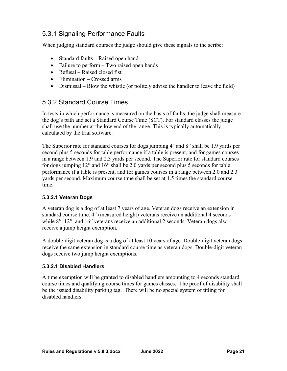### 5.3.1 Signaling Performance Faults

When judging standard courses the judge should give these signals to the scribe:

- Standard faults Raised open hand
- Failure to perform Two raised open hands
- Refusal Raised closed fist
- Elimination Crossed arms
- Dismissal Blow the whistle (or politely advise the handler to leave the field)

### 5.3.2 Standard Course Times

In tests in which performance is measured on the basis of faults, the judge shall measure the dog's path and set a Standard Course Time (SCT). For standard classes the judge shall use the number at the low end of the range. This is typically automatically calculated by the trial software.

The Superior rate for standard courses for dogs jumping 4'' and 8′′ shall be 1.9 yards per second plus 5 seconds for table performance if a table is present, and for games courses in a range between 1.9 and 2.3 yards per second. The Superior rate for standard courses for dogs jumping 12′′ and 16′′ shall be 2.0 yards per second plus 5 seconds for table performance if a table is present, and for games courses in a range between 2.0 and 2.3 yards per second. Maximum course time shall be set at 1.5 times the standard course time.

#### **5.3.2.1 Veteran Dogs**

A veteran dog is a dog of at least 7 years of age. Veteran dogs receive an extension in standard course time. 4′′ (measured height) veterans receive an additional 4 seconds while 8′′, 12′′, and 16′′ veterans receive an additional 2 seconds. Veteran dogs also receive a jump height exemption.

A double-digit veteran dog is a dog of at least 10 years of age. Double-digit veteran dogs receive the same extension in standard course time as veteran dogs. Double-digit veteran dogs receive two jump height exemptions.

#### **5.3.2.1 Disabled Handlers**

A time exemption will be granted to disabled handlers amounting to 4 seconds standard course times and qualifying course times for games classes. The proof of disability shall be the issued disability parking tag. There will be no special system of titling for disabled handlers.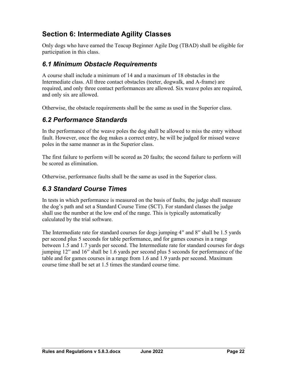# <span id="page-24-0"></span>**Section 6: Intermediate Agility Classes**

Only dogs who have earned the Teacup Beginner Agile Dog (TBAD) shall be eligible for participation in this class.

### <span id="page-24-1"></span>*6.1 Minimum Obstacle Requirements*

A course shall include a minimum of 14 and a maximum of 18 obstacles in the Intermediate class. All three contact obstacles (teeter, dogwalk, and A-frame) are required, and only three contact performances are allowed. Six weave poles are required, and only six are allowed.

Otherwise, the obstacle requirements shall be the same as used in the Superior class.

### <span id="page-24-2"></span>*6.2 Performance Standards*

In the performance of the weave poles the dog shall be allowed to miss the entry without fault. However, once the dog makes a correct entry, he will be judged for missed weave poles in the same manner as in the Superior class.

The first failure to perform will be scored as 20 faults; the second failure to perform will be scored as elimination.

Otherwise, performance faults shall be the same as used in the Superior class.

### <span id="page-24-3"></span>*6.3 Standard Course Times*

In tests in which performance is measured on the basis of faults, the judge shall measure the dog's path and set a Standard Course Time (SCT). For standard classes the judge shall use the number at the low end of the range. This is typically automatically calculated by the trial software.

The Intermediate rate for standard courses for dogs jumping 4′′ and 8′′ shall be 1.5 yards per second plus 5 seconds for table performance, and for games courses in a range between 1.5 and 1.7 yards per second. The Intermediate rate for standard courses for dogs jumping 12′′ and 16′′ shall be 1.6 yards per second plus 5 seconds for performance of the table and for games courses in a range from 1.6 and 1.9 yards per second. Maximum course time shall be set at 1.5 times the standard course time.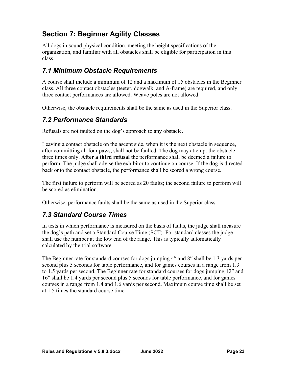# <span id="page-25-0"></span>**Section 7: Beginner Agility Classes**

All dogs in sound physical condition, meeting the height specifications of the organization, and familiar with all obstacles shall be eligible for participation in this class.

### <span id="page-25-1"></span>*7.1 Minimum Obstacle Requirements*

A course shall include a minimum of 12 and a maximum of 15 obstacles in the Beginner class. All three contact obstacles (teeter, dogwalk, and A-frame) are required, and only three contact performances are allowed. Weave poles are not allowed.

Otherwise, the obstacle requirements shall be the same as used in the Superior class.

### <span id="page-25-2"></span>*7.2 Performance Standards*

Refusals are not faulted on the dog's approach to any obstacle.

Leaving a contact obstacle on the ascent side, when it is the next obstacle in sequence, after committing all four paws, shall not be faulted. The dog may attempt the obstacle three times only. **After a third refusal** the performance shall be deemed a failure to perform. The judge shall advise the exhibitor to continue on course. If the dog is directed back onto the contact obstacle, the performance shall be scored a wrong course.

The first failure to perform will be scored as 20 faults; the second failure to perform will be scored as elimination.

Otherwise, performance faults shall be the same as used in the Superior class.

# <span id="page-25-3"></span>*7.3 Standard Course Times*

In tests in which performance is measured on the basis of faults, the judge shall measure the dog's path and set a Standard Course Time (SCT). For standard classes the judge shall use the number at the low end of the range. This is typically automatically calculated by the trial software.

The Beginner rate for standard courses for dogs jumping 4′′ and 8′′ shall be 1.3 yards per second plus 5 seconds for table performance, and for games courses in a range from 1.3 to 1.5 yards per second. The Beginner rate for standard courses for dogs jumping 12′′ and 16′′ shall be 1.4 yards per second plus 5 seconds for table performance, and for games courses in a range from 1.4 and 1.6 yards per second. Maximum course time shall be set at 1.5 times the standard course time.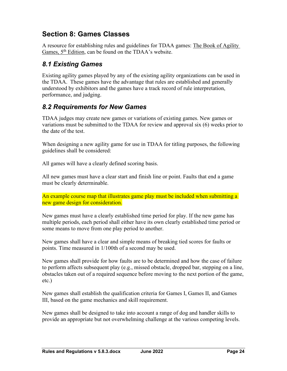# <span id="page-26-0"></span>**Section 8: Games Classes**

A resource for establishing rules and guidelines for TDAA games: The Book of Agility Games, 5<sup>th</sup> Edition, can be found on the TDAA's website.

### <span id="page-26-1"></span>*8.1 Existing Games*

Existing agility games played by any of the existing agility organizations can be used in the TDAA. These games have the advantage that rules are established and generally understood by exhibitors and the games have a track record of rule interpretation, performance, and judging.

### <span id="page-26-2"></span>*8.2 Requirements for New Games*

TDAA judges may create new games or variations of existing games. New games or variations must be submitted to the TDAA for review and approval six (6) weeks prior to the date of the test.

When designing a new agility game for use in TDAA for titling purposes, the following guidelines shall be considered:

All games will have a clearly defined scoring basis.

All new games must have a clear start and finish line or point. Faults that end a game must be clearly determinable.

An example course map that illustrates game play must be included when submitting a new game design for consideration.

New games must have a clearly established time period for play. If the new game has multiple periods, each period shall either have its own clearly established time period or some means to move from one play period to another.

New games shall have a clear and simple means of breaking tied scores for faults or points. Time measured in 1/100th of a second may be used.

New games shall provide for how faults are to be determined and how the case of failure to perform affects subsequent play (e.g., missed obstacle, dropped bar, stepping on a line, obstacles taken out of a required sequence before moving to the next portion of the game, etc.)

New games shall establish the qualification criteria for Games I, Games II, and Games III, based on the game mechanics and skill requirement.

New games shall be designed to take into account a range of dog and handler skills to provide an appropriate but not overwhelming challenge at the various competing levels.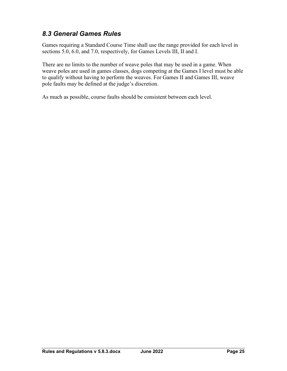### <span id="page-27-0"></span>*8.3 General Games Rules*

Games requiring a Standard Course Time shall use the range provided for each level in sections 5.0, 6.0, and 7.0, respectively, for Games Levels III, II and I.

There are no limits to the number of weave poles that may be used in a game. When weave poles are used in games classes, dogs competing at the Games I level must be able to qualify without having to perform the weaves. For Games II and Games III, weave pole faults may be defined at the judge's discretion.

As much as possible, course faults should be consistent between each level.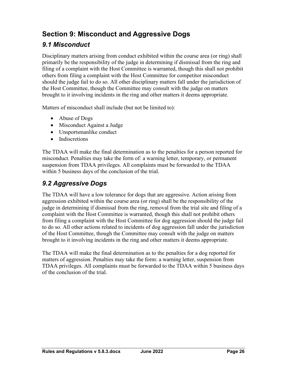# <span id="page-28-0"></span>**Section 9: Misconduct and Aggressive Dogs**

### <span id="page-28-1"></span>*9.1 Misconduct*

Disciplinary matters arising from conduct exhibited within the course area (or ring) shall primarily be the responsibility of the judge in determining if dismissal from the ring and filing of a complaint with the Host Committee is warranted, though this shall not prohibit others from filing a complaint with the Host Committee for competitor misconduct should the judge fail to do so. All other disciplinary matters fall under the jurisdiction of the Host Committee, though the Committee may consult with the judge on matters brought to it involving incidents in the ring and other matters it deems appropriate.

Matters of misconduct shall include (but not be limited to):

- Abuse of Dogs
- Misconduct Against a Judge
- Unsportsmanlike conduct
- Indiscretions

The TDAA will make the final determination as to the penalties for a person reported for misconduct. Penalties may take the form of: a warning letter, temporary, or permanent suspension from TDAA privileges. All complaints must be forwarded to the TDAA within 5 business days of the conclusion of the trial.

### <span id="page-28-2"></span>*9.2 Aggressive Dogs*

The TDAA will have a low tolerance for dogs that are aggressive. Action arising from aggression exhibited within the course area (or ring) shall be the responsibility of the judge in determining if dismissal from the ring, removal from the trial site and filing of a complaint with the Host Committee is warranted, though this shall not prohibit others from filing a complaint with the Host Committee for dog aggression should the judge fail to do so. All other actions related to incidents of dog aggression fall under the jurisdiction of the Host Committee, though the Committee may consult with the judge on matters brought to it involving incidents in the ring and other matters it deems appropriate.

The TDAA will make the final determination as to the penalties for a dog reported for matters of aggression. Penalties may take the form: a warning letter, suspension from TDAA privileges. All complaints must be forwarded to the TDAA within 5 business days of the conclusion of the trial.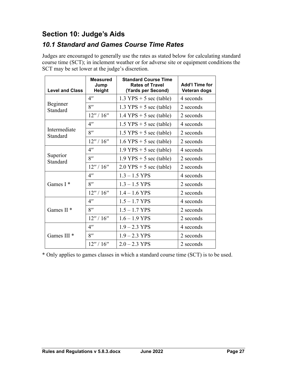# <span id="page-29-0"></span>**Section 10: Judge's Aids**

### <span id="page-29-1"></span>*10.1 Standard and Games Course Time Rates*

Judges are encouraged to generally use the rates as stated below for calculating standard course time (SCT); in inclement weather or for adverse site or equipment conditions the SCT may be set lower at the judge's discretion.

| <b>Level and Class</b>   | <b>Measured</b><br>Jump<br><b>Height</b> | <b>Standard Course Time</b><br><b>Rates of Travel</b><br>(Yards per Second) | <b>Add'l Time for</b><br>Veteran dogs |
|--------------------------|------------------------------------------|-----------------------------------------------------------------------------|---------------------------------------|
|                          | 4 <sup>''</sup>                          | $1.3$ YPS + 5 sec (table)                                                   | 4 seconds                             |
| Beginner<br>Standard     | 8''                                      | $1.3$ YPS + 5 sec (table)                                                   | 2 seconds                             |
|                          | 12''/16''                                | $1.4$ YPS + 5 sec (table)                                                   | 2 seconds                             |
|                          | $4^{\prime\prime}$                       | $1.5$ YPS + 5 sec (table)                                                   | 4 seconds                             |
| Intermediate<br>Standard | 8''                                      | $1.5$ YPS + 5 sec (table)                                                   | 2 seconds                             |
|                          | 12''/16''                                | $1.6$ YPS + 5 sec (table)                                                   | 2 seconds                             |
|                          | $4^{\prime\prime}$                       | $1.9$ YPS + 5 sec (table)                                                   | 4 seconds                             |
| Superior<br>Standard     | 8''                                      | $1.9$ YPS + 5 sec (table)                                                   | 2 seconds                             |
|                          | 12''/16''                                | $2.0$ YPS + 5 sec (table)                                                   | 2 seconds                             |
|                          | $4^{\prime\prime}$                       | $1.3 - 1.5$ YPS                                                             | 4 seconds                             |
| Games $I^*$              | $8$ "                                    | $1.3 - 1.5$ YPS                                                             | 2 seconds                             |
|                          | 12''/16''                                | $1.4 - 1.6$ YPS                                                             | 2 seconds                             |
|                          | $4^{\prime\prime}$                       | $1.5 - 1.7$ YPS                                                             | 4 seconds                             |
| Games $II$ *             | 8''                                      | $1.5 - 1.7$ YPS                                                             | 2 seconds                             |
|                          | 12''/16''                                | $1.6 - 1.9$ YPS                                                             | 2 seconds                             |
| Games III <sup>*</sup>   | $4^{\prime\prime}$                       | $1.9 - 2.3$ YPS                                                             | 4 seconds                             |
|                          | $8^{\prime\prime}$                       | $1.9 - 2.3$ YPS                                                             | 2 seconds                             |
|                          | 12''/16''                                | $2.0 - 2.3$ YPS                                                             | 2 seconds                             |

\* Only applies to games classes in which a standard course time (SCT) is to be used.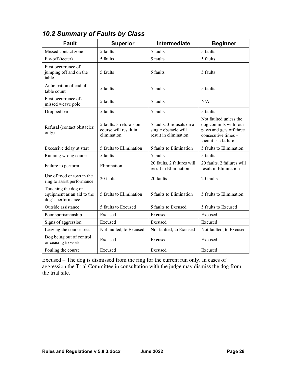| <b>Fault</b>                                                           | <b>Superior</b>                                                 | Intermediate                                                               | <b>Beginner</b>                                                                                                           |
|------------------------------------------------------------------------|-----------------------------------------------------------------|----------------------------------------------------------------------------|---------------------------------------------------------------------------------------------------------------------------|
| Missed contact zone                                                    | 5 faults                                                        | 5 faults                                                                   | 5 faults                                                                                                                  |
|                                                                        | 5 faults                                                        | 5 faults                                                                   | 5 faults                                                                                                                  |
| Fly-off (teeter)<br>First occurrence of                                |                                                                 |                                                                            |                                                                                                                           |
| jumping off and on the<br>table                                        | 5 faults                                                        | 5 faults                                                                   | 5 faults                                                                                                                  |
| Anticipation of end of<br>table count                                  | 5 faults                                                        | 5 faults                                                                   | 5 faults                                                                                                                  |
| First occurrence of a<br>missed weave pole                             | 5 faults                                                        | 5 faults                                                                   | N/A                                                                                                                       |
| Dropped bar                                                            | 5 faults                                                        | 5 faults                                                                   | 5 faults                                                                                                                  |
| Refusal (contact obstacles<br>only)                                    | 5 faults. 3 refusals on<br>course will result in<br>elimination | 5 faults. 3 refusals on a<br>single obstacle will<br>result in elimination | Not faulted unless the<br>dog commits with four<br>paws and gets off three<br>consecutive times -<br>then it is a failure |
| Excessive delay at start                                               | 5 faults to Elimination                                         | 5 faults to Elimination                                                    | 5 faults to Elimination                                                                                                   |
| Running wrong course                                                   | 5 faults                                                        | 5 faults                                                                   | 5 faults                                                                                                                  |
| Failure to perform                                                     | Elimination                                                     | 20 faults. 2 failures will<br>result in Elimination                        | 20 faults. 2 failures will<br>result in Elimination                                                                       |
| Use of food or toys in the<br>ring to assist performance               | 20 faults                                                       | 20 faults                                                                  | 20 faults                                                                                                                 |
| Touching the dog or<br>equipment as an aid to the<br>dog's performance | 5 faults to Elimination                                         | 5 faults to Elimination                                                    | 5 faults to Elimination                                                                                                   |
| Outside assistance                                                     | 5 faults to Excused                                             | 5 faults to Excused                                                        | 5 faults to Excused                                                                                                       |
| Poor sportsmanship                                                     | Excused                                                         | Excused                                                                    | Excused                                                                                                                   |
| Signs of aggression                                                    | Excused                                                         | Excused                                                                    | Excused                                                                                                                   |
| Leaving the course area                                                | Not faulted, to Excused                                         | Not faulted, to Excused                                                    | Not faulted, to Excused                                                                                                   |
| Dog being out of control<br>or ceasing to work                         | Excused                                                         | Excused                                                                    | Excused                                                                                                                   |
| Fouling the course                                                     | Excused                                                         | Excused                                                                    | Excused                                                                                                                   |

# <span id="page-30-0"></span>*10.2 Summary of Faults by Class*

Excused – The dog is dismissed from the ring for the current run only. In cases of aggression the Trial Committee in consultation with the judge may dismiss the dog from the trial site.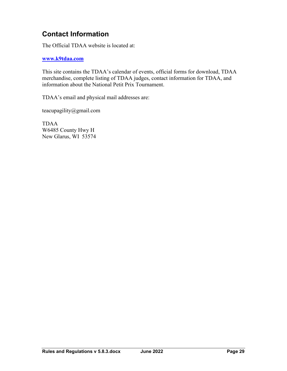# <span id="page-31-0"></span>**Contact Information**

The Official TDAA website is located at:

#### **[www.k9tdaa.com](http://www.k9tdaa.com/)**

This site contains the TDAA's calendar of events, official forms for download, TDAA merchandise, complete listing of TDAA judges, contact information for TDAA, and information about the National Petit Prix Tournament.

TDAA's email and physical mail addresses are:

teacupagility@gmail.com

TDAA W6485 County Hwy H New Glarus, WI 53574